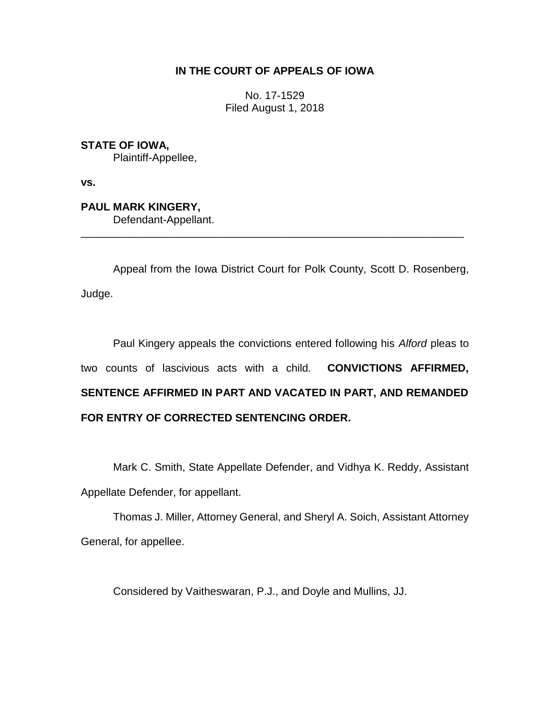# **IN THE COURT OF APPEALS OF IOWA**

No. 17-1529 Filed August 1, 2018

**STATE OF IOWA,** Plaintiff-Appellee,

**vs.**

**PAUL MARK KINGERY,** Defendant-Appellant. \_\_\_\_\_\_\_\_\_\_\_\_\_\_\_\_\_\_\_\_\_\_\_\_\_\_\_\_\_\_\_\_\_\_\_\_\_\_\_\_\_\_\_\_\_\_\_\_\_\_\_\_\_\_\_\_\_\_\_\_\_\_\_\_

Appeal from the Iowa District Court for Polk County, Scott D. Rosenberg, Judge.

Paul Kingery appeals the convictions entered following his *Alford* pleas to two counts of lascivious acts with a child. **CONVICTIONS AFFIRMED, SENTENCE AFFIRMED IN PART AND VACATED IN PART, AND REMANDED FOR ENTRY OF CORRECTED SENTENCING ORDER.**

Mark C. Smith, State Appellate Defender, and Vidhya K. Reddy, Assistant Appellate Defender, for appellant.

Thomas J. Miller, Attorney General, and Sheryl A. Soich, Assistant Attorney General, for appellee.

Considered by Vaitheswaran, P.J., and Doyle and Mullins, JJ.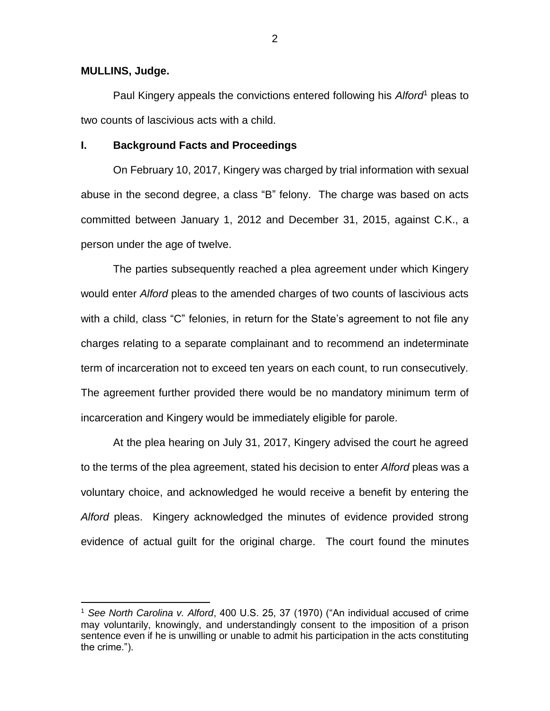### **MULLINS, Judge.**

 $\overline{a}$ 

Paul Kingery appeals the convictions entered following his *Alford*<sup>1</sup> pleas to two counts of lascivious acts with a child.

### **I. Background Facts and Proceedings**

On February 10, 2017, Kingery was charged by trial information with sexual abuse in the second degree, a class "B" felony. The charge was based on acts committed between January 1, 2012 and December 31, 2015, against C.K., a person under the age of twelve.

The parties subsequently reached a plea agreement under which Kingery would enter *Alford* pleas to the amended charges of two counts of lascivious acts with a child, class "C" felonies, in return for the State's agreement to not file any charges relating to a separate complainant and to recommend an indeterminate term of incarceration not to exceed ten years on each count, to run consecutively. The agreement further provided there would be no mandatory minimum term of incarceration and Kingery would be immediately eligible for parole.

At the plea hearing on July 31, 2017, Kingery advised the court he agreed to the terms of the plea agreement, stated his decision to enter *Alford* pleas was a voluntary choice, and acknowledged he would receive a benefit by entering the *Alford* pleas. Kingery acknowledged the minutes of evidence provided strong evidence of actual guilt for the original charge. The court found the minutes

<sup>1</sup> *See North Carolina v. Alford*, 400 U.S. 25, 37 (1970) ("An individual accused of crime may voluntarily, knowingly, and understandingly consent to the imposition of a prison sentence even if he is unwilling or unable to admit his participation in the acts constituting the crime.").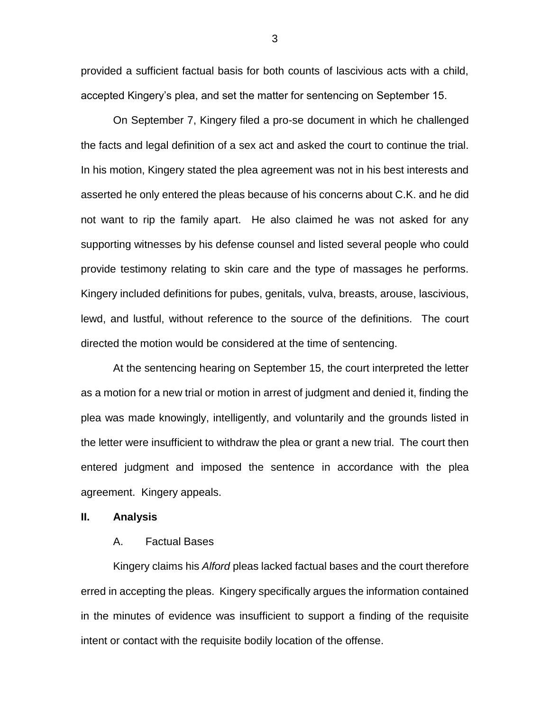provided a sufficient factual basis for both counts of lascivious acts with a child, accepted Kingery's plea, and set the matter for sentencing on September 15.

On September 7, Kingery filed a pro-se document in which he challenged the facts and legal definition of a sex act and asked the court to continue the trial. In his motion, Kingery stated the plea agreement was not in his best interests and asserted he only entered the pleas because of his concerns about C.K. and he did not want to rip the family apart. He also claimed he was not asked for any supporting witnesses by his defense counsel and listed several people who could provide testimony relating to skin care and the type of massages he performs. Kingery included definitions for pubes, genitals, vulva, breasts, arouse, lascivious, lewd, and lustful, without reference to the source of the definitions. The court directed the motion would be considered at the time of sentencing.

At the sentencing hearing on September 15, the court interpreted the letter as a motion for a new trial or motion in arrest of judgment and denied it, finding the plea was made knowingly, intelligently, and voluntarily and the grounds listed in the letter were insufficient to withdraw the plea or grant a new trial. The court then entered judgment and imposed the sentence in accordance with the plea agreement. Kingery appeals.

## **II. Analysis**

### A. Factual Bases

Kingery claims his *Alford* pleas lacked factual bases and the court therefore erred in accepting the pleas. Kingery specifically argues the information contained in the minutes of evidence was insufficient to support a finding of the requisite intent or contact with the requisite bodily location of the offense.

3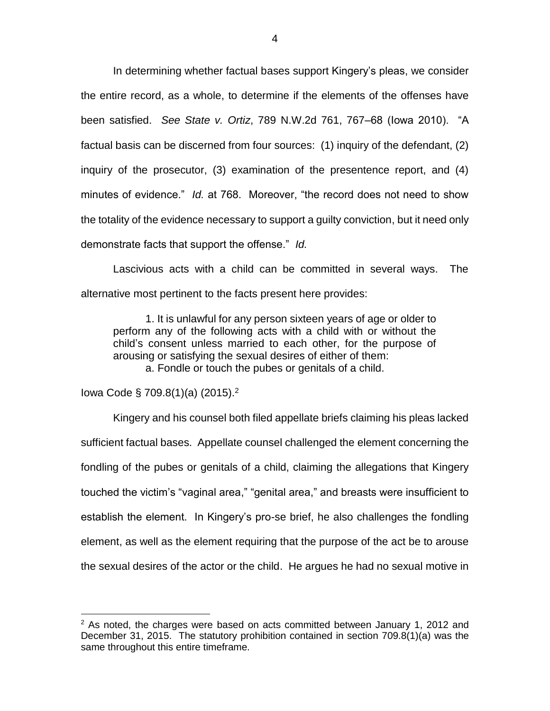In determining whether factual bases support Kingery's pleas, we consider the entire record, as a whole, to determine if the elements of the offenses have been satisfied. *See State v. Ortiz*, 789 N.W.2d 761, 767–68 (Iowa 2010). "A factual basis can be discerned from four sources: (1) inquiry of the defendant, (2) inquiry of the prosecutor, (3) examination of the presentence report, and (4) minutes of evidence." *Id.* at 768. Moreover, "the record does not need to show the totality of the evidence necessary to support a guilty conviction, but it need only demonstrate facts that support the offense." *Id.*

Lascivious acts with a child can be committed in several ways. The alternative most pertinent to the facts present here provides:

1. It is unlawful for any person sixteen years of age or older to perform any of the following acts with a child with or without the child's consent unless married to each other, for the purpose of arousing or satisfying the sexual desires of either of them: a. Fondle or touch the pubes or genitals of a child.

Iowa Code § 709.8(1)(a) (2015). 2

 $\overline{a}$ 

Kingery and his counsel both filed appellate briefs claiming his pleas lacked sufficient factual bases. Appellate counsel challenged the element concerning the fondling of the pubes or genitals of a child, claiming the allegations that Kingery touched the victim's "vaginal area," "genital area," and breasts were insufficient to establish the element. In Kingery's pro-se brief, he also challenges the fondling element, as well as the element requiring that the purpose of the act be to arouse the sexual desires of the actor or the child. He argues he had no sexual motive in

 $2$  As noted, the charges were based on acts committed between January 1, 2012 and December 31, 2015. The statutory prohibition contained in section 709.8(1)(a) was the same throughout this entire timeframe.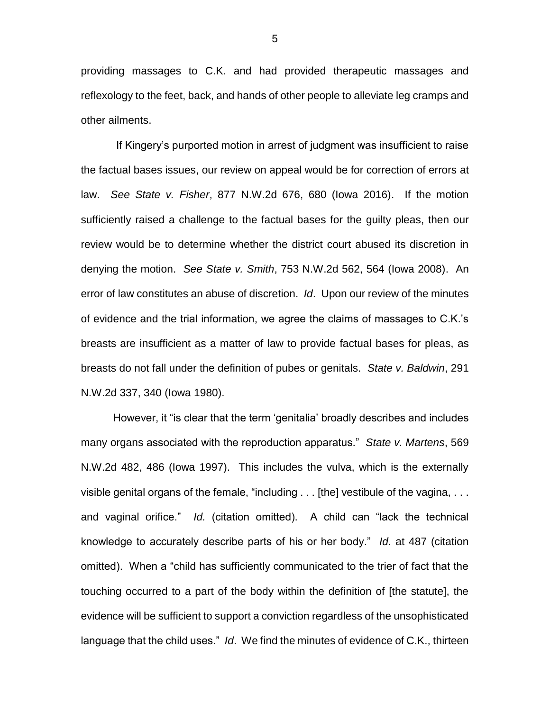providing massages to C.K. and had provided therapeutic massages and reflexology to the feet, back, and hands of other people to alleviate leg cramps and other ailments.

If Kingery's purported motion in arrest of judgment was insufficient to raise the factual bases issues, our review on appeal would be for correction of errors at law. *See State v. Fisher*, 877 N.W.2d 676, 680 (Iowa 2016). If the motion sufficiently raised a challenge to the factual bases for the guilty pleas, then our review would be to determine whether the district court abused its discretion in denying the motion. *See State v. Smith*, 753 N.W.2d 562, 564 (Iowa 2008). An error of law constitutes an abuse of discretion. *Id*. Upon our review of the minutes of evidence and the trial information, we agree the claims of massages to C.K.'s breasts are insufficient as a matter of law to provide factual bases for pleas, as breasts do not fall under the definition of pubes or genitals. *State v. Baldwin*, 291 N.W.2d 337, 340 (Iowa 1980).

However, it "is clear that the term 'genitalia' broadly describes and includes many organs associated with the reproduction apparatus." *State v. Martens*, 569 N.W.2d 482, 486 (Iowa 1997). This includes the vulva, which is the externally visible genital organs of the female, "including . . . [the] vestibule of the vagina, . . . and vaginal orifice." *Id.* (citation omitted). A child can "lack the technical knowledge to accurately describe parts of his or her body." *Id.* at 487 (citation omitted). When a "child has sufficiently communicated to the trier of fact that the touching occurred to a part of the body within the definition of [the statute], the evidence will be sufficient to support a conviction regardless of the unsophisticated language that the child uses." *Id*. We find the minutes of evidence of C.K., thirteen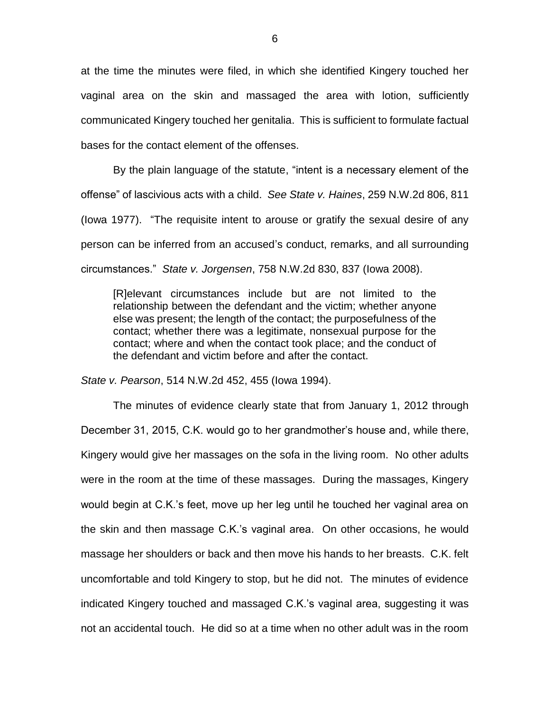at the time the minutes were filed, in which she identified Kingery touched her vaginal area on the skin and massaged the area with lotion, sufficiently communicated Kingery touched her genitalia. This is sufficient to formulate factual bases for the contact element of the offenses.

By the plain language of the statute, "intent is a necessary element of the offense" of lascivious acts with a child. *See State v. Haines*, 259 N.W.2d 806, 811 (Iowa 1977). "The requisite intent to arouse or gratify the sexual desire of any person can be inferred from an accused's conduct, remarks, and all surrounding circumstances." *State v. Jorgensen*, 758 N.W.2d 830, 837 (Iowa 2008).

[R]elevant circumstances include but are not limited to the relationship between the defendant and the victim; whether anyone else was present; the length of the contact; the purposefulness of the contact; whether there was a legitimate, nonsexual purpose for the contact; where and when the contact took place; and the conduct of the defendant and victim before and after the contact.

*State v. Pearson*, 514 N.W.2d 452, 455 (Iowa 1994).

The minutes of evidence clearly state that from January 1, 2012 through December 31, 2015, C.K. would go to her grandmother's house and, while there, Kingery would give her massages on the sofa in the living room. No other adults were in the room at the time of these massages. During the massages, Kingery would begin at C.K.'s feet, move up her leg until he touched her vaginal area on the skin and then massage C.K.'s vaginal area. On other occasions, he would massage her shoulders or back and then move his hands to her breasts. C.K. felt uncomfortable and told Kingery to stop, but he did not. The minutes of evidence indicated Kingery touched and massaged C.K.'s vaginal area, suggesting it was not an accidental touch. He did so at a time when no other adult was in the room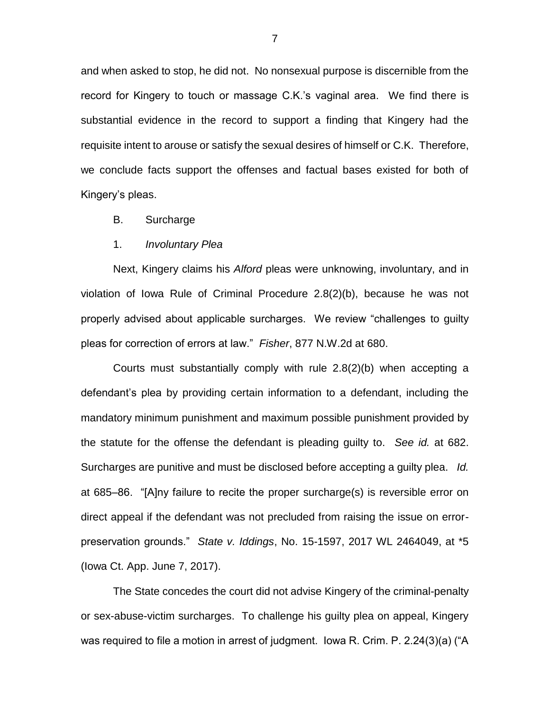and when asked to stop, he did not. No nonsexual purpose is discernible from the record for Kingery to touch or massage C.K.'s vaginal area. We find there is substantial evidence in the record to support a finding that Kingery had the requisite intent to arouse or satisfy the sexual desires of himself or C.K. Therefore, we conclude facts support the offenses and factual bases existed for both of Kingery's pleas.

- B. Surcharge
- 1. *Involuntary Plea*

Next, Kingery claims his *Alford* pleas were unknowing, involuntary, and in violation of Iowa Rule of Criminal Procedure 2.8(2)(b), because he was not properly advised about applicable surcharges. We review "challenges to guilty pleas for correction of errors at law." *Fisher*, 877 N.W.2d at 680.

Courts must substantially comply with rule 2.8(2)(b) when accepting a defendant's plea by providing certain information to a defendant, including the mandatory minimum punishment and maximum possible punishment provided by the statute for the offense the defendant is pleading guilty to. *See id.* at 682. Surcharges are punitive and must be disclosed before accepting a guilty plea. *Id.* at 685–86. "[A]ny failure to recite the proper surcharge(s) is reversible error on direct appeal if the defendant was not precluded from raising the issue on errorpreservation grounds." *State v. Iddings*, No. 15-1597, 2017 WL 2464049, at \*5 (Iowa Ct. App. June 7, 2017).

The State concedes the court did not advise Kingery of the criminal-penalty or sex-abuse-victim surcharges. To challenge his guilty plea on appeal, Kingery was required to file a motion in arrest of judgment. Iowa R. Crim. P. 2.24(3)(a) ("A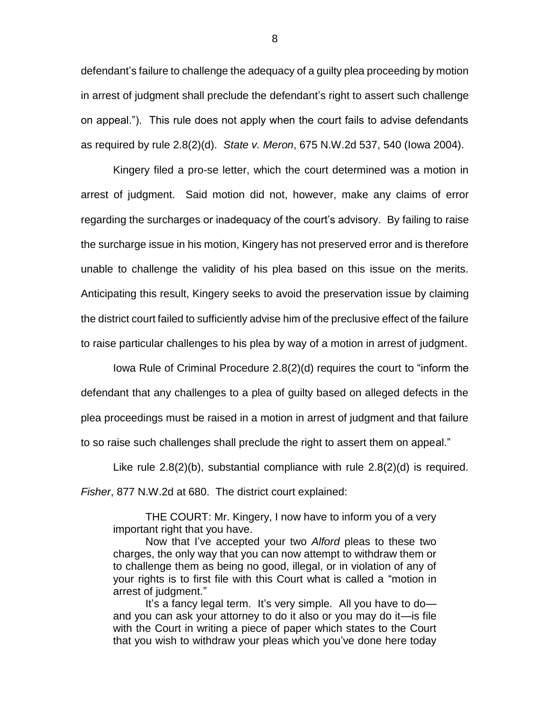defendant's failure to challenge the adequacy of a guilty plea proceeding by motion in arrest of judgment shall preclude the defendant's right to assert such challenge on appeal."). This rule does not apply when the court fails to advise defendants as required by rule 2.8(2)(d). *State v. Meron*, 675 N.W.2d 537, 540 (Iowa 2004).

Kingery filed a pro-se letter, which the court determined was a motion in arrest of judgment. Said motion did not, however, make any claims of error regarding the surcharges or inadequacy of the court's advisory. By failing to raise the surcharge issue in his motion, Kingery has not preserved error and is therefore unable to challenge the validity of his plea based on this issue on the merits. Anticipating this result, Kingery seeks to avoid the preservation issue by claiming the district court failed to sufficiently advise him of the preclusive effect of the failure to raise particular challenges to his plea by way of a motion in arrest of judgment.

Iowa Rule of Criminal Procedure 2.8(2)(d) requires the court to "inform the defendant that any challenges to a plea of guilty based on alleged defects in the plea proceedings must be raised in a motion in arrest of judgment and that failure to so raise such challenges shall preclude the right to assert them on appeal."

Like rule 2.8(2)(b), substantial compliance with rule 2.8(2)(d) is required. *Fisher*, 877 N.W.2d at 680. The district court explained:

THE COURT: Mr. Kingery, I now have to inform you of a very important right that you have.

Now that I've accepted your two *Alford* pleas to these two charges, the only way that you can now attempt to withdraw them or to challenge them as being no good, illegal, or in violation of any of your rights is to first file with this Court what is called a "motion in arrest of judgment."

It's a fancy legal term. It's very simple. All you have to doand you can ask your attorney to do it also or you may do it—is file with the Court in writing a piece of paper which states to the Court that you wish to withdraw your pleas which you've done here today

8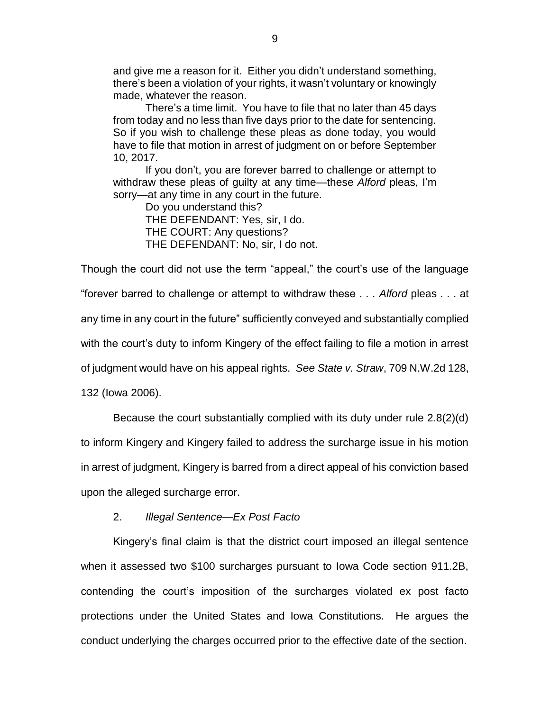and give me a reason for it. Either you didn't understand something, there's been a violation of your rights, it wasn't voluntary or knowingly made, whatever the reason.

There's a time limit. You have to file that no later than 45 days from today and no less than five days prior to the date for sentencing. So if you wish to challenge these pleas as done today, you would have to file that motion in arrest of judgment on or before September 10, 2017.

If you don't, you are forever barred to challenge or attempt to withdraw these pleas of guilty at any time—these *Alford* pleas, I'm sorry—at any time in any court in the future.

Do you understand this? THE DEFENDANT: Yes, sir, I do. THE COURT: Any questions? THE DEFENDANT: No, sir, I do not.

Though the court did not use the term "appeal," the court's use of the language "forever barred to challenge or attempt to withdraw these . . . *Alford* pleas . . . at any time in any court in the future" sufficiently conveyed and substantially complied with the court's duty to inform Kingery of the effect failing to file a motion in arrest of judgment would have on his appeal rights. *See State v. Straw*, 709 N.W.2d 128, 132 (Iowa 2006).

Because the court substantially complied with its duty under rule 2.8(2)(d) to inform Kingery and Kingery failed to address the surcharge issue in his motion in arrest of judgment, Kingery is barred from a direct appeal of his conviction based upon the alleged surcharge error.

## 2. *Illegal Sentence—Ex Post Facto*

Kingery's final claim is that the district court imposed an illegal sentence when it assessed two \$100 surcharges pursuant to Iowa Code section 911.2B, contending the court's imposition of the surcharges violated ex post facto protections under the United States and Iowa Constitutions. He argues the conduct underlying the charges occurred prior to the effective date of the section.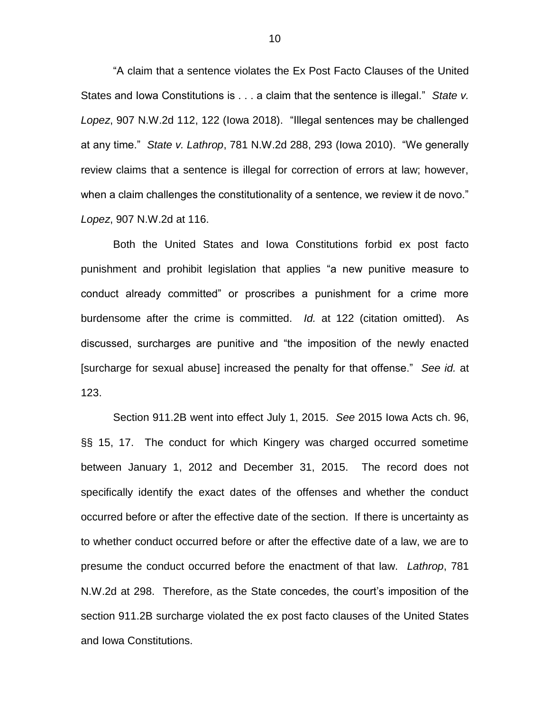"A claim that a sentence violates the Ex Post Facto Clauses of the United States and Iowa Constitutions is . . . a claim that the sentence is illegal." *State v. Lopez*, 907 N.W.2d 112, 122 (Iowa 2018). "Illegal sentences may be challenged at any time." *State v. Lathrop*, 781 N.W.2d 288, 293 (Iowa 2010). "We generally review claims that a sentence is illegal for correction of errors at law; however, when a claim challenges the constitutionality of a sentence, we review it de novo." *Lopez*, 907 N.W.2d at 116.

Both the United States and Iowa Constitutions forbid ex post facto punishment and prohibit legislation that applies "a new punitive measure to conduct already committed" or proscribes a punishment for a crime more burdensome after the crime is committed. *Id.* at 122 (citation omitted). As discussed, surcharges are punitive and "the imposition of the newly enacted [surcharge for sexual abuse] increased the penalty for that offense." *See id.* at 123.

Section 911.2B went into effect July 1, 2015. *See* 2015 Iowa Acts ch. 96, §§ 15, 17. The conduct for which Kingery was charged occurred sometime between January 1, 2012 and December 31, 2015. The record does not specifically identify the exact dates of the offenses and whether the conduct occurred before or after the effective date of the section. If there is uncertainty as to whether conduct occurred before or after the effective date of a law, we are to presume the conduct occurred before the enactment of that law. *Lathrop*, 781 N.W.2d at 298. Therefore, as the State concedes, the court's imposition of the section 911.2B surcharge violated the ex post facto clauses of the United States and Iowa Constitutions.